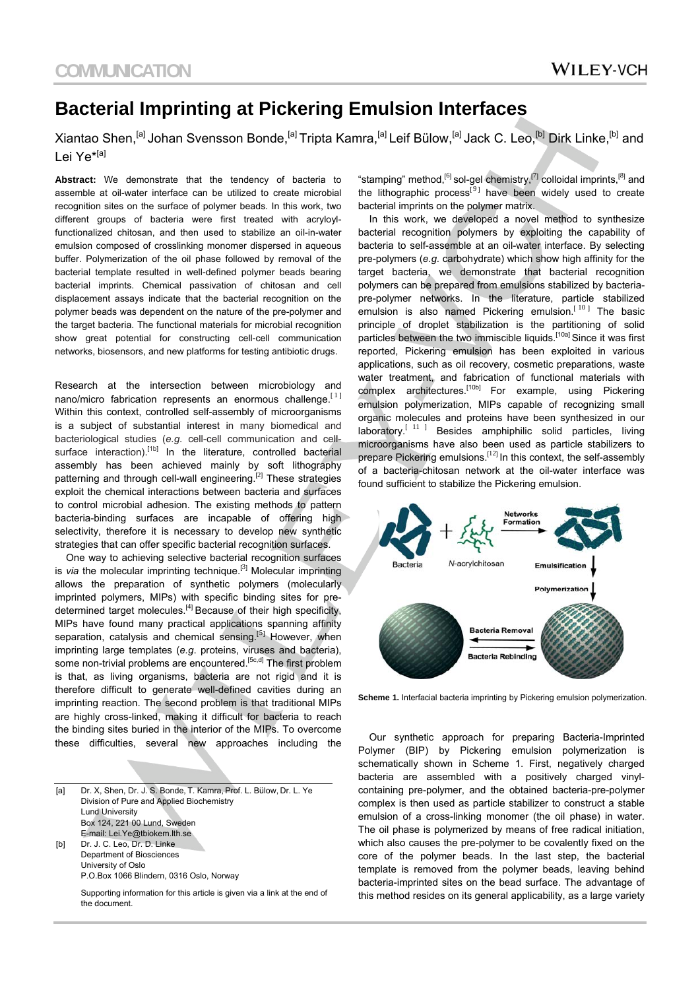## **Bacterial Imprinting at Pickering Emulsion Interfaces**

Xiantao Shen,<sup>[a]</sup> Johan Svensson Bonde,<sup>[a]</sup> Tripta Kamra,<sup>[a]</sup> Leif Bülow,<sup>[a]</sup> Jack C. Leo,<sup>[b]</sup> Dirk Linke,<sup>[b]</sup> and Lei Ye<sup>\*[a]</sup>

**Abstract:** We demonstrate that the tendency of bacteria to assemble at oil-water interface can be utilized to create microbial recognition sites on the surface of polymer beads. In this work, two different groups of bacteria were first treated with acryloylfunctionalized chitosan, and then used to stabilize an oil-in-water emulsion composed of crosslinking monomer dispersed in aqueous buffer. Polymerization of the oil phase followed by removal of the bacterial template resulted in well-defined polymer beads bearing bacterial imprints. Chemical passivation of chitosan and cell displacement assays indicate that the bacterial recognition on the polymer beads was dependent on the nature of the pre-polymer and the target bacteria. The functional materials for microbial recognition show great potential for constructing cell-cell communication networks, biosensors, and new platforms for testing antibiotic drugs.

Research at the intersection between microbiology and nano/micro fabrication represents an enormous challenge.<sup>[1]</sup> Within this context, controlled self-assembly of microorganisms is a subject of substantial interest in many biomedical and bacteriological studies (*e.g*. cell-cell communication and cellsurface interaction).<sup>[1b]</sup> In the literature, controlled bacterial assembly has been achieved mainly by soft lithography patterning and through cell-wall engineering.<sup>[2]</sup> These strategies exploit the chemical interactions between bacteria and surfaces to control microbial adhesion. The existing methods to pattern bacteria-binding surfaces are incapable of offering high selectivity, therefore it is necessary to develop new synthetic strategies that can offer specific bacterial recognition surfaces.

 One way to achieving selective bacterial recognition surfaces is *via* the molecular imprinting technique.<sup>[3]</sup> Molecular imprinting allows the preparation of synthetic polymers (molecularly imprinted polymers, MIPs) with specific binding sites for predetermined target molecules.<sup>[4]</sup> Because of their high specificity, MIPs have found many practical applications spanning affinity separation, catalysis and chemical sensing.<sup>[5]</sup> However, when imprinting large templates (*e.g*. proteins, viruses and bacteria), some non-trivial problems are encountered.<sup>[5c,d]</sup> The first problem is that, as living organisms, bacteria are not rigid and it is therefore difficult to generate well-defined cavities during an imprinting reaction. The second problem is that traditional MIPs are highly cross-linked, making it difficult for bacteria to reach the binding sites buried in the interior of the MIPs. To overcome these difficulties, several new approaches including the

[a] Dr. X, Shen, Dr. J. S. Bonde, T. Kamra, Prof. L. Bülow, Dr. L. Ye Division of Pure and Applied Biochemistry Lund University Box 124, 221 00 Lund, Sweden E-mail: Lei.Ye@tbiokem.lth.se [b] Dr. J. C. Leo, Dr. D. Linke Department of Biosciences University of Oslo P.O.Box 1066 Blindern, 0316 Oslo, Norway Supporting information for this article is given via a link at the end of

the document.

"stamping" method,<sup>[6]</sup> sol-gel chemistry,<sup>[7]</sup> colloidal imprints,<sup>[8]</sup> and the lithographic process<sup>[9]</sup> have been widely used to create bacterial imprints on the polymer matrix.

 In this work, we developed a novel method to synthesize bacterial recognition polymers by exploiting the capability of bacteria to self-assemble at an oil-water interface. By selecting pre-polymers (*e.g*. carbohydrate) which show high affinity for the target bacteria, we demonstrate that bacterial recognition polymers can be prepared from emulsions stabilized by bacteriapre-polymer networks. In the literature, particle stabilized emulsion is also named Pickering emulsion.<sup>[10]</sup> The basic principle of droplet stabilization is the partitioning of solid particles between the two immiscible liquids.<sup>[10a]</sup> Since it was first reported, Pickering emulsion has been exploited in various applications, such as oil recovery, cosmetic preparations, waste water treatment, and fabrication of functional materials with complex architectures.<sup>[10b]</sup> For example, using Pickering emulsion polymerization, MIPs capable of recognizing small organic molecules and proteins have been synthesized in our laboratory.<sup>[11]</sup> Besides amphiphilic solid particles, living microorganisms have also been used as particle stabilizers to prepare Pickering emulsions.[<sup>12</sup>] In this context, the self-assembly of a bacteria-chitosan network at the oil-water interface was found sufficient to stabilize the Pickering emulsion.



**Scheme 1.** Interfacial bacteria imprinting by Pickering emulsion polymerization.

 Our synthetic approach for preparing Bacteria-Imprinted Polymer (BIP) by Pickering emulsion polymerization is schematically shown in Scheme 1. First, negatively charged bacteria are assembled with a positively charged vinylcontaining pre-polymer, and the obtained bacteria-pre-polymer complex is then used as particle stabilizer to construct a stable emulsion of a cross-linking monomer (the oil phase) in water. The oil phase is polymerized by means of free radical initiation, which also causes the pre-polymer to be covalently fixed on the core of the polymer beads. In the last step, the bacterial template is removed from the polymer beads, leaving behind bacteria-imprinted sites on the bead surface. The advantage of this method resides on its general applicability, as a large variety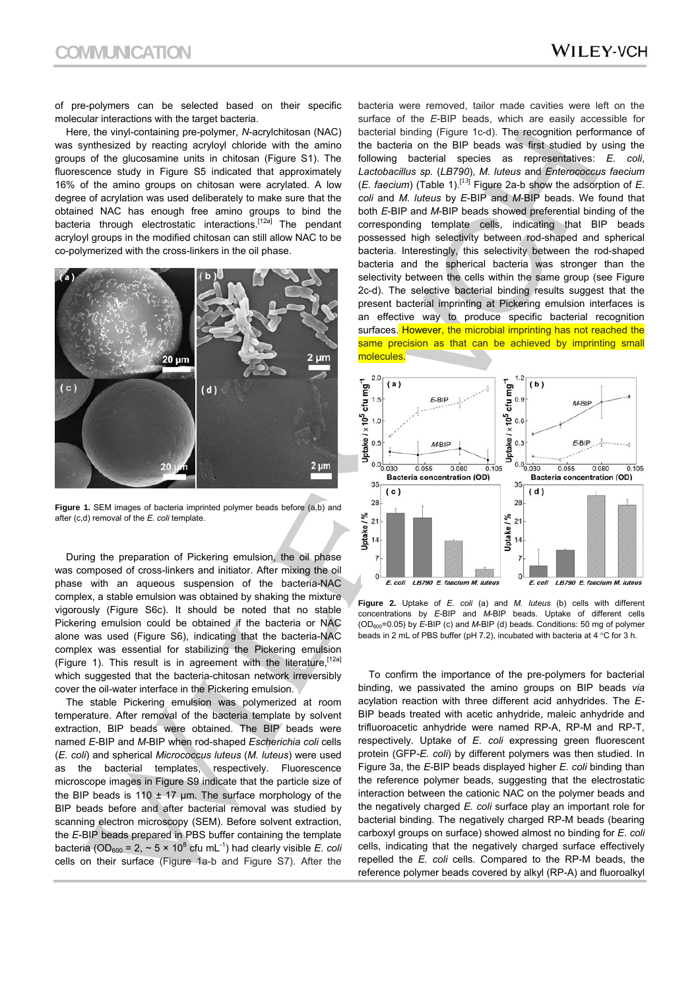of pre-polymers can be selected based on their specific molecular interactions with the target bacteria.

 Here, the vinyl-containing pre-polymer, *N*-acrylchitosan (NAC) was synthesized by reacting acryloyl chloride with the amino groups of the glucosamine units in chitosan (Figure S1). The fluorescence study in Figure S5 indicated that approximately 16% of the amino groups on chitosan were acrylated. A low degree of acrylation was used deliberately to make sure that the obtained NAC has enough free amino groups to bind the bacteria through electrostatic interactions.<sup>[12a]</sup> The pendant acryloyl groups in the modified chitosan can still allow NAC to be co-polymerized with the cross-linkers in the oil phase.



Figure 1. SEM images of bacteria imprinted polymer beads before (a,b) and after (c,d) removal of the *E. coli* template.

 During the preparation of Pickering emulsion, the oil phase was composed of cross-linkers and initiator. After mixing the oil phase with an aqueous suspension of the bacteria-NAC complex, a stable emulsion was obtained by shaking the mixture vigorously (Figure S6c). It should be noted that no stable Pickering emulsion could be obtained if the bacteria or NAC alone was used (Figure S6), indicating that the bacteria-NAC complex was essential for stabilizing the Pickering emulsion (Figure 1). This result is in agreement with the literature,  $[12a]$ which suggested that the bacteria-chitosan network irreversibly cover the oil-water interface in the Pickering emulsion.

 The stable Pickering emulsion was polymerized at room temperature. After removal of the bacteria template by solvent extraction, BIP beads were obtained. The BIP beads were named *E*-BIP and *M-*BIP when rod-shaped *Escherichia coli* cells (*E. coli*) and spherical *Micrococcus luteus* (*M. luteus*) were used as the bacterial templates, respectively. Fluorescence microscope images in Figure S9 indicate that the particle size of the BIP beads is 110  $\pm$  17 µm. The surface morphology of the BIP beads before and after bacterial removal was studied by scanning electron microscopy (SEM). Before solvent extraction, the *E*-BIP beads prepared in PBS buffer containing the template bacteria (OD<sub>600</sub> = 2,  $\sim$  5  $\times$  10<sup>8</sup> cfu mL<sup>-1</sup>) had clearly visible *E. coli* cells on their surface (Figure 1a-b and Figure S7). After the

bacteria were removed, tailor made cavities were left on the surface of the *E*-BIP beads, which are easily accessible for bacterial binding (Figure 1c-d). The recognition performance of the bacteria on the BIP beads was first studied by using the following bacterial species as representatives: *E. coli*, *Lactobacillus sp.* (*LB790*), *M. luteus* and *Enterococcus faecium* (*E. faecium*) (Table 1).[<sup>13</sup>] Figure 2a-b show the adsorption of *E. coli* and *M. luteus* by *E*-BIP and *M*-BIP beads. We found that both *E*-BIP and *M*-BIP beads showed preferential binding of the corresponding template cells, indicating that BIP beads possessed high selectivity between rod-shaped and spherical bacteria. Interestingly, this selectivity between the rod-shaped bacteria and the spherical bacteria was stronger than the selectivity between the cells within the same group (see Figure 2c-d). The selective bacterial binding results suggest that the present bacterial imprinting at Pickering emulsion interfaces is an effective way to produce specific bacterial recognition surfaces. However, the microbial imprinting has not reached the same precision as that can be achieved by imprinting small molecules.



**Figure 2.** Uptake of *E. coli* (a) and *M. luteus* (b) cells with different concentrations by *E*-BIP and *M*-BIP beads. Uptake of different cells (OD600=0.05) by *E*-BIP (c) and *M*-BIP (d) beads. Conditions: 50 mg of polymer beads in 2 mL of PBS buffer (pH 7.2), incubated with bacteria at 4  $\degree$ C for 3 h.

To confirm the importance of the pre-polymers for bacterial binding, we passivated the amino groups on BIP beads *via* acylation reaction with three different acid anhydrides. The *E-*BIP beads treated with acetic anhydride, maleic anhydride and trifluoroacetic anhydride were named RP-A, RP-M and RP-T, respectively. Uptake of *E. coli* expressing green fluorescent protein (GFP*-E. coli*) by different polymers was then studied. In Figure 3a, the *E*-BIP beads displayed higher *E. coli* binding than the reference polymer beads, suggesting that the electrostatic interaction between the cationic NAC on the polymer beads and the negatively charged *E. coli* surface play an important role for bacterial binding. The negatively charged RP-M beads (bearing carboxyl groups on surface) showed almost no binding for *E. coli* cells, indicating that the negatively charged surface effectively repelled the *E. coli* cells. Compared to the RP-M beads, the reference polymer beads covered by alkyl (RP-A) and fluoroalkyl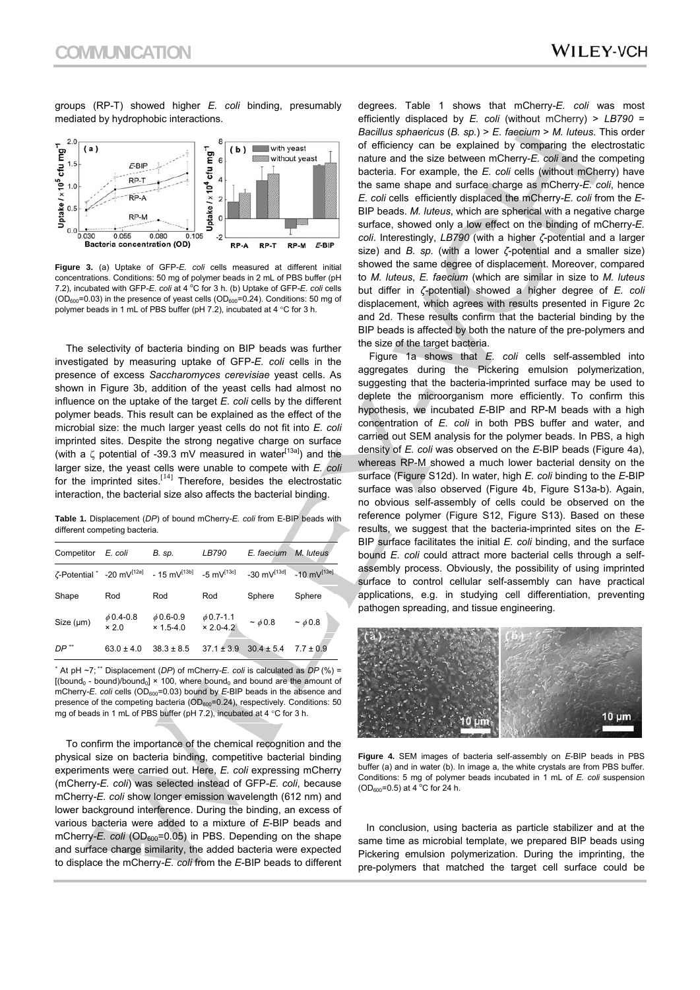groups (RP-T) showed higher *E. coli* binding, presumably mediated by hydrophobic interactions.



**Figure 3.** (a) Uptake of GFP*-E. coli* cells measured at different initial concentrations. Conditions: 50 mg of polymer beads in 2 mL of PBS buffer (pH 7.2), incubated with GFP-E. coli at 4 °C for 3 h. (b) Uptake of GFP-E. coli cells  $(OD_{600}=0.03)$  in the presence of yeast cells  $(OD_{600}=0.24)$ . Conditions: 50 mg of polymer beads in 1 mL of PBS buffer (pH 7.2), incubated at 4  $\degree$ C for 3 h.

 The selectivity of bacteria binding on BIP beads was further investigated by measuring uptake of GFP*-E. coli* cells in the presence of excess *Saccharomyces cerevisiae* yeast cells. As shown in Figure 3b, addition of the yeast cells had almost no influence on the uptake of the target *E. coli* cells by the different polymer beads. This result can be explained as the effect of the microbial size: the much larger yeast cells do not fit into *E. coli*  imprinted sites. Despite the strong negative charge on surface (with a  $\zeta$  potential of -39.3 mV measured in water<sup>[13a]</sup>) and the larger size, the yeast cells were unable to compete with *E. coli*  for the imprinted sites.<sup>[14]</sup> Therefore, besides the electrostatic interaction, the bacterial size also affects the bacterial binding.

**Table 1.** Displacement (*DP*) of bound mCherry*-E. coli* from E-BIP beads with different competing bacteria.

| Competitor                                   | E. coli                        | B. sp.                          | LB790                           | E. faecium                | M. luteus                 |
|----------------------------------------------|--------------------------------|---------------------------------|---------------------------------|---------------------------|---------------------------|
| $\zeta$ -Potential * -20 mV <sup>[12a]</sup> |                                | $-15$ mV <sup>[13b]</sup>       | $-5$ mV <sup>[13c]</sup>        | $-30$ mV <sup>[13d]</sup> | $-10$ mV <sup>[13e]</sup> |
| Shape                                        | Rod                            | Rod                             | Rod                             | Sphere                    | Sphere                    |
| Size (µm)                                    | $\phi$ 0.4-0.8<br>$\times 2.0$ | $\phi$ 0.6-0.9<br>$× 1.5 - 4.0$ | $\phi$ 0.7-1.1<br>$× 2.0 - 4.2$ | $\sim \phi$ 0.8           | ~10.8                     |
| $DP$ **                                      | $63.0 \pm 4.0$                 | $38.3 \pm 8.5$                  | $37.1 \pm 3.9$                  | $30.4 \pm 5.4$            | $7.7 \pm 0.9$             |

\* At pH ~7; \*\* Displacement (*DP*) of mCherry*-E. coli* is calculated as *DP* (%) =  $[(bound_0 - bound)/bound_0] \times 100$ , where bound<sub>0</sub> and bound are the amount of mCherry-E. coli cells (OD<sub>600</sub>=0.03) bound by E-BIP beads in the absence and presence of the competing bacteria ( $OD<sub>600</sub>=0.24$ ), respectively. Conditions: 50 mg of beads in 1 mL of PBS buffer (pH 7.2), incubated at 4  $\degree$ C for 3 h.

 To confirm the importance of the chemical recognition and the physical size on bacteria binding, competitive bacterial binding experiments were carried out. Here, *E. coli* expressing mCherry (mCherry*-E. coli*) was selected instead of GFP*-E. coli*, because mCherry*-E. coli* show longer emission wavelength (612 nm) and lower background interference. During the binding, an excess of various bacteria were added to a mixture of *E*-BIP beads and mCherry-E. coli (OD<sub>600</sub>=0.05) in PBS. Depending on the shape and surface charge similarity, the added bacteria were expected to displace the mCherry*-E. coli* from the *E*-BIP beads to different degrees. Table 1 shows that mCherry*-E. coli* was most efficiently displaced by *E. coli* (without mCherry) > *LB790* = *Bacillus sphaericus* (*B. sp.*) > *E. faecium* > *M. luteus*. This order of efficiency can be explained by comparing the electrostatic nature and the size between mCherry*-E. coli* and the competing bacteria. For example, the *E. coli* cells (without mCherry) have the same shape and surface charge as mCherry*-E. coli*, hence *E. coli* cells efficiently displaced the mCherry*-E. coli* from the *E*-BIP beads. *M. luteus*, which are spherical with a negative charge surface, showed only a low effect on the binding of mCherry*-E. coli*. Interestingly, *LB790* (with a higher *ζ*-potential and a larger size) and *B. sp.* (with a lower *ζ*-potential and a smaller size) showed the same degree of displacement. Moreover, compared to *M. luteus*, *E. faecium* (which are similar in size to *M. luteus* but differ in *ζ*-potential) showed a higher degree of *E. coli*  displacement, which agrees with results presented in Figure 2c and 2d. These results confirm that the bacterial binding by the BIP beads is affected by both the nature of the pre-polymers and the size of the target bacteria.

 Figure 1a shows that *E. coli* cells self-assembled into aggregates during the Pickering emulsion polymerization, suggesting that the bacteria-imprinted surface may be used to deplete the microorganism more efficiently. To confirm this hypothesis, we incubated *E*-BIP and RP-M beads with a high concentration of *E. coli* in both PBS buffer and water, and carried out SEM analysis for the polymer beads. In PBS, a high density of *E. coli* was observed on the *E*-BIP beads (Figure 4a), whereas RP-M showed a much lower bacterial density on the surface (Figure S12d). In water, high *E. coli* binding to the *E*-BIP surface was also observed (Figure 4b, Figure S13a-b). Again, no obvious self-assembly of cells could be observed on the reference polymer (Figure S12, Figure S13). Based on these results, we suggest that the bacteria-imprinted sites on the *E*-BIP surface facilitates the initial *E. coli* binding, and the surface bound *E. coli* could attract more bacterial cells through a selfassembly process. Obviously, the possibility of using imprinted surface to control cellular self-assembly can have practical applications, e.g. in studying cell differentiation, preventing pathogen spreading, and tissue engineering.



**Figure 4.** SEM images of bacteria self-assembly on *E*-BIP beads in PBS buffer (a) and in water (b). In image a, the white crystals are from PBS buffer. Conditions: 5 mg of polymer beads incubated in 1 mL of *E. coli* suspension  $(OD_{600} = 0.5)$  at 4 °C for 24 h.

 In conclusion, using bacteria as particle stabilizer and at the same time as microbial template, we prepared BIP beads using Pickering emulsion polymerization. During the imprinting, the pre-polymers that matched the target cell surface could be